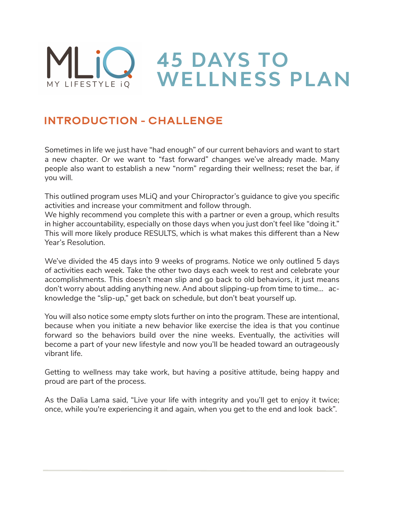

#### INTRODUCTION - CHALLENGE

Sometimes in life we just have "had enough" of our current behaviors and want to start a new chapter. Or we want to "fast forward" changes we've already made. Many people also want to establish a new "norm" regarding their wellness; reset the bar, if you will.

This outlined program uses MLiQ and your Chiropractor's guidance to give you specific activities and increase your commitment and follow through.

We highly recommend you complete this with a partner or even a group, which results in higher accountability, especially on those days when you just don't feel like "doing it." This will more likely produce RESULTS, which is what makes this different than a New Year's Resolution.

We've divided the 45 days into 9 weeks of programs. Notice we only outlined 5 days of activities each week. Take the other two days each week to rest and celebrate your accomplishments. This doesn't mean slip and go back to old behaviors, it just means don't worry about adding anything new. And about slipping-up from time to time… acknowledge the "slip-up," get back on schedule, but don't beat yourself up.

You will also notice some empty slots further on into the program. These are intentional, because when you initiate a new behavior like exercise the idea is that you continue forward so the behaviors build over the nine weeks. Eventually, the activities will become a part of your new lifestyle and now you'll be headed toward an outrageously vibrant life.

Getting to wellness may take work, but having a positive attitude, being happy and proud are part of the process.

As the Dalia Lama said, "Live your life with integrity and you'll get to enjoy it twice; once, while you're experiencing it and again, when you get to the end and look back".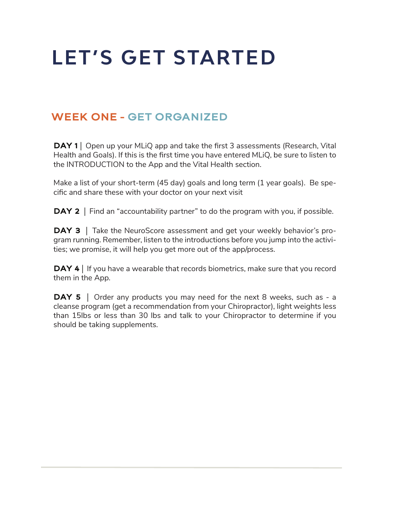# **LET'S GET STARTED**

#### WEEK ONE - GET ORGANIZED

**DAY 1** | Open up your MLiQ app and take the first 3 assessments (Research, Vital Health and Goals). If this is the first time you have entered MLiQ, be sure to listen to the INTRODUCTION to the App and the Vital Health section.

Make a list of your short-term (45 day) goals and long term (1 year goals). Be specific and share these with your doctor on your next visit

**DAY 2** | Find an "accountability partner" to do the program with you, if possible.

**DAY 3** | Take the NeuroScore assessment and get your weekly behavior's program running. Remember, listen to the introductions before you jump into the activities; we promise, it will help you get more out of the app/process.

**DAY 4** | If you have a wearable that records biometrics, make sure that you record them in the App.

**DAY 5** | Order any products you may need for the next 8 weeks, such as - a cleanse program (get a recommendation from your Chiropractor), light weights less than 15lbs or less than 30 lbs and talk to your Chiropractor to determine if you should be taking supplements.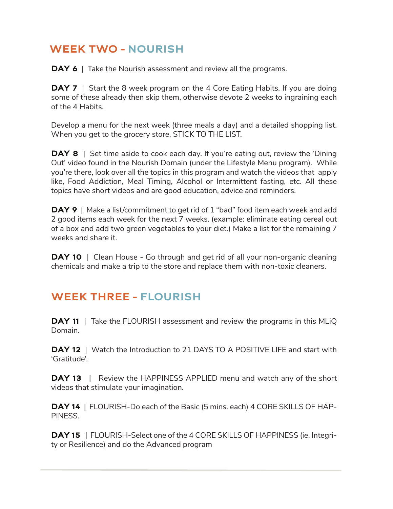## WEEK TWO - NOURISH

**DAY 6** | Take the Nourish assessment and review all the programs.

**DAY 7** | Start the 8 week program on the 4 Core Eating Habits. If you are doing some of these already then skip them, otherwise devote 2 weeks to ingraining each of the 4 Habits.

Develop a menu for the next week (three meals a day) and a detailed shopping list. When you get to the grocery store, STICK TO THE LIST.

**DAY 8** | Set time aside to cook each day. If you're eating out, review the 'Dining Out' video found in the Nourish Domain (under the Lifestyle Menu program). While you're there, look over all the topics in this program and watch the videos that apply like, Food Addiction, Meal Timing, Alcohol or Intermittent fasting, etc. All these topics have short videos and are good education, advice and reminders.

**DAY 9** | Make a list/commitment to get rid of 1 "bad" food item each week and add 2 good items each week for the next 7 weeks. (example: eliminate eating cereal out of a box and add two green vegetables to your diet.) Make a list for the remaining 7 weeks and share it.

**DAY 10** | Clean House - Go through and get rid of all your non-organic cleaning chemicals and make a trip to the store and replace them with non-toxic cleaners.

## WEEK THREE - FLOURISH

**DAY 11** | Take the FLOURISH assessment and review the programs in this MLiQ Domain.

**DAY 12** | Watch the Introduction to 21 DAYS TO A POSITIVE LIFE and start with 'Gratitude'.

**DAY 13** | Review the HAPPINESS APPLIED menu and watch any of the short videos that stimulate your imagination.

DAY 14 | FLOURISH-Do each of the Basic (5 mins. each) 4 CORE SKILLS OF HAP-PINESS.

DAY 15 | FLOURISH-Select one of the 4 CORE SKILLS OF HAPPINESS (ie. Integrity or Resilience) and do the Advanced program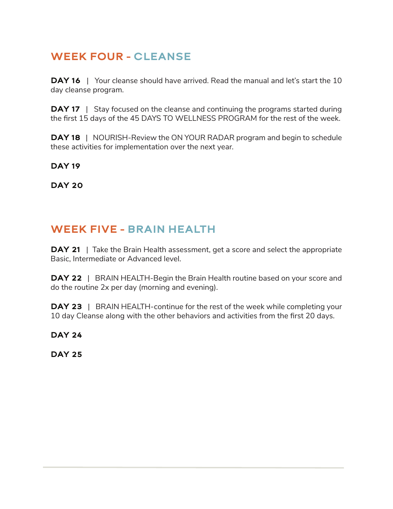## WEEK FOUR - CLEANSE

**DAY 16** | Your cleanse should have arrived. Read the manual and let's start the 10 day cleanse program.

**DAY 17** | Stay focused on the cleanse and continuing the programs started during the first 15 days of the 45 DAYS TO WELLNESS PROGRAM for the rest of the week.

**DAY 18** | NOURISH-Review the ON YOUR RADAR program and begin to schedule these activities for implementation over the next year.

#### **DAY 19**

DAY 20

#### WEEK FIVE - BRAIN HEALTH

**DAY 21** | Take the Brain Health assessment, get a score and select the appropriate Basic, Intermediate or Advanced level.

**DAY 22** | BRAIN HEALTH-Begin the Brain Health routine based on your score and do the routine 2x per day (morning and evening).

**DAY 23** | BRAIN HEALTH-continue for the rest of the week while completing your 10 day Cleanse along with the other behaviors and activities from the first 20 days.

DAY 24

DAY 25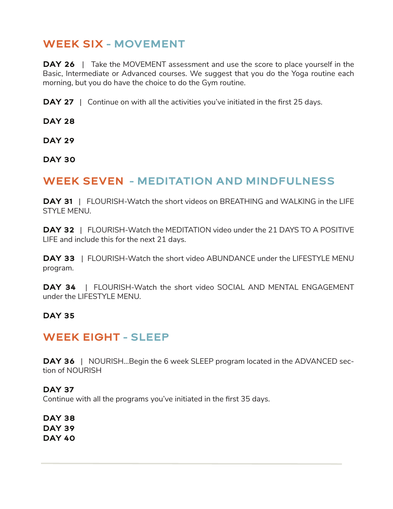#### WEEK SIX - MOVEMENT

**DAY 26** | Take the MOVEMENT assessment and use the score to place yourself in the Basic, Intermediate or Advanced courses. We suggest that you do the Yoga routine each morning, but you do have the choice to do the Gym routine.

**DAY 27** | Continue on with all the activities you've initiated in the first 25 days.

DAY 28

DAY 29

DAY 30

#### WEEK SEVEN - MEDITATION AND MINDFULNESS

**DAY 31** | FLOURISH-Watch the short videos on BREATHING and WALKING in the LIFE STYLE MENU.

DAY 32 | FLOURISH-Watch the MEDITATION video under the 21 DAYS TO A POSITIVE LIFE and include this for the next 21 days.

**DAY 33** | FLOURISH-Watch the short video ABUNDANCE under the LIFESTYLE MENU program.

**DAY 34** | FLOURISH-Watch the short video SOCIAL AND MENTAL ENGAGEMENT under the LIFESTYLE MENU.

#### DAY 35

#### WEEK EIGHT - SLEEP

**DAY 36** | NOURISH...Begin the 6 week SLEEP program located in the ADVANCED section of NOURISH

DAY 37 Continue with all the programs you've initiated in the first 35 days.

DAY 38 DAY 39 DAY 40